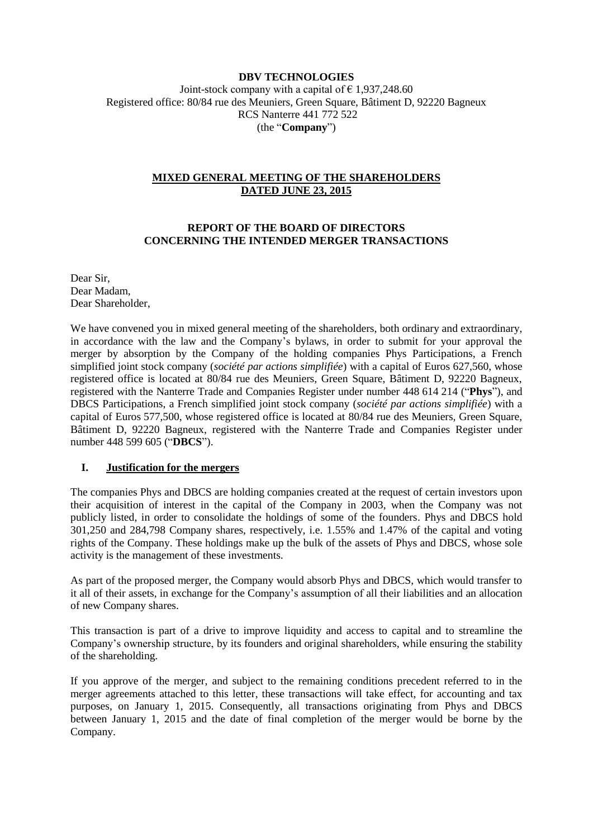### **DBV TECHNOLOGIES**

Joint-stock company with a capital of  $\epsilon$  1,937,248.60 Registered office: 80/84 rue des Meuniers, Green Square, Bâtiment D, 92220 Bagneux RCS Nanterre 441 772 522 (the "**Company**")

### **MIXED GENERAL MEETING OF THE SHAREHOLDERS DATED JUNE 23, 2015**

### **REPORT OF THE BOARD OF DIRECTORS CONCERNING THE INTENDED MERGER TRANSACTIONS**

Dear Sir, Dear Madam, Dear Shareholder,

We have convened you in mixed general meeting of the shareholders, both ordinary and extraordinary, in accordance with the law and the Company's bylaws, in order to submit for your approval the merger by absorption by the Company of the holding companies Phys Participations, a French simplified joint stock company (*société par actions simplifiée*) with a capital of Euros 627,560, whose registered office is located at 80/84 rue des Meuniers, Green Square, Bâtiment D, 92220 Bagneux, registered with the Nanterre Trade and Companies Register under number 448 614 214 ("**Phys**"), and DBCS Participations, a French simplified joint stock company (*société par actions simplifiée*) with a capital of Euros 577,500, whose registered office is located at 80/84 rue des Meuniers, Green Square, Bâtiment D, 92220 Bagneux, registered with the Nanterre Trade and Companies Register under number 448 599 605 ("**DBCS**").

#### **I. Justification for the mergers**

The companies Phys and DBCS are holding companies created at the request of certain investors upon their acquisition of interest in the capital of the Company in 2003, when the Company was not publicly listed, in order to consolidate the holdings of some of the founders. Phys and DBCS hold 301,250 and 284,798 Company shares, respectively, i.e. 1.55% and 1.47% of the capital and voting rights of the Company. These holdings make up the bulk of the assets of Phys and DBCS, whose sole activity is the management of these investments.

As part of the proposed merger, the Company would absorb Phys and DBCS, which would transfer to it all of their assets, in exchange for the Company's assumption of all their liabilities and an allocation of new Company shares.

This transaction is part of a drive to improve liquidity and access to capital and to streamline the Company's ownership structure, by its founders and original shareholders, while ensuring the stability of the shareholding.

If you approve of the merger, and subject to the remaining conditions precedent referred to in the merger agreements attached to this letter, these transactions will take effect, for accounting and tax purposes, on January 1, 2015. Consequently, all transactions originating from Phys and DBCS between January 1, 2015 and the date of final completion of the merger would be borne by the Company.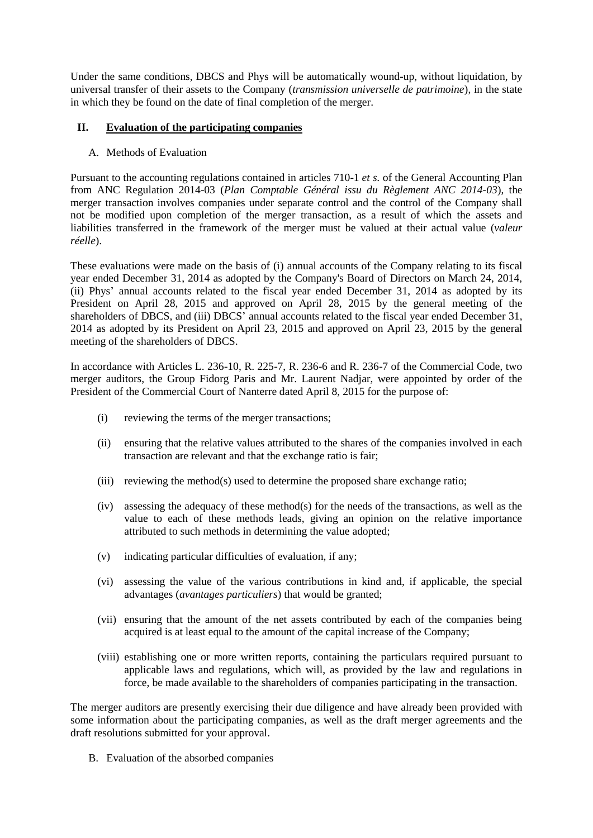Under the same conditions, DBCS and Phys will be automatically wound-up, without liquidation, by universal transfer of their assets to the Company (*transmission universelle de patrimoine*), in the state in which they be found on the date of final completion of the merger.

## **II. Evaluation of the participating companies**

A. Methods of Evaluation

Pursuant to the accounting regulations contained in articles 710-1 *et s.* of the General Accounting Plan from ANC Regulation 2014-03 (*Plan Comptable Général issu du Règlement ANC 2014-03*), the merger transaction involves companies under separate control and the control of the Company shall not be modified upon completion of the merger transaction, as a result of which the assets and liabilities transferred in the framework of the merger must be valued at their actual value (*valeur réelle*).

These evaluations were made on the basis of (i) annual accounts of the Company relating to its fiscal year ended December 31, 2014 as adopted by the Company's Board of Directors on March 24, 2014, (ii) Phys' annual accounts related to the fiscal year ended December 31, 2014 as adopted by its President on April 28, 2015 and approved on April 28, 2015 by the general meeting of the shareholders of DBCS, and (iii) DBCS' annual accounts related to the fiscal year ended December 31, 2014 as adopted by its President on April 23, 2015 and approved on April 23, 2015 by the general meeting of the shareholders of DBCS.

In accordance with Articles L. 236-10, R. 225-7, R. 236-6 and R. 236-7 of the Commercial Code, two merger auditors, the Group Fidorg Paris and Mr. Laurent Nadjar, were appointed by order of the President of the Commercial Court of Nanterre dated April 8, 2015 for the purpose of:

- (i) reviewing the terms of the merger transactions;
- (ii) ensuring that the relative values attributed to the shares of the companies involved in each transaction are relevant and that the exchange ratio is fair;
- (iii) reviewing the method(s) used to determine the proposed share exchange ratio;
- (iv) assessing the adequacy of these method(s) for the needs of the transactions, as well as the value to each of these methods leads, giving an opinion on the relative importance attributed to such methods in determining the value adopted;
- (v) indicating particular difficulties of evaluation, if any;
- (vi) assessing the value of the various contributions in kind and, if applicable, the special advantages (*avantages particuliers*) that would be granted;
- (vii) ensuring that the amount of the net assets contributed by each of the companies being acquired is at least equal to the amount of the capital increase of the Company;
- (viii) establishing one or more written reports, containing the particulars required pursuant to applicable laws and regulations, which will, as provided by the law and regulations in force, be made available to the shareholders of companies participating in the transaction.

The merger auditors are presently exercising their due diligence and have already been provided with some information about the participating companies, as well as the draft merger agreements and the draft resolutions submitted for your approval.

B. Evaluation of the absorbed companies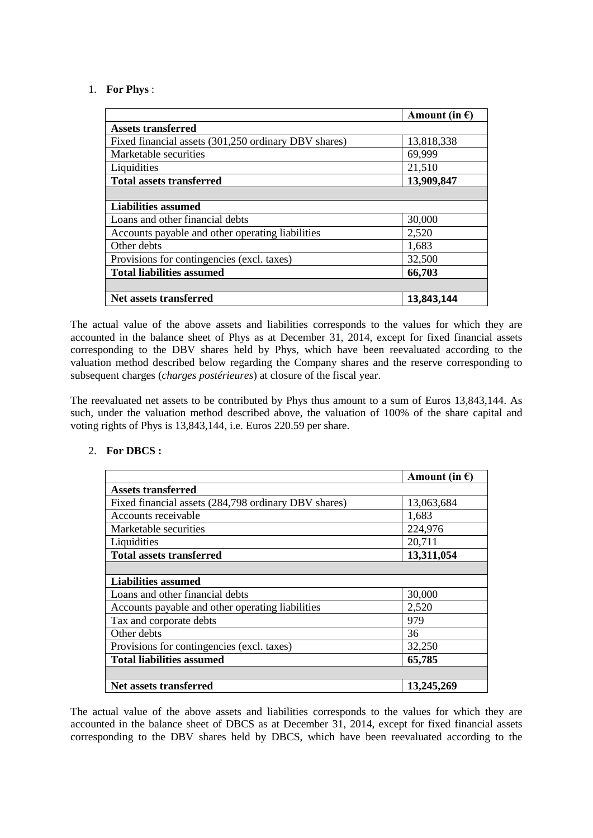### 1. **For Phys** :

|                                                      | Amount (in $\epsilon$ ) |
|------------------------------------------------------|-------------------------|
| <b>Assets transferred</b>                            |                         |
| Fixed financial assets (301,250 ordinary DBV shares) | 13,818,338              |
| Marketable securities                                | 69,999                  |
| Liquidities                                          | 21,510                  |
| <b>Total assets transferred</b>                      | 13,909,847              |
|                                                      |                         |
| <b>Liabilities assumed</b>                           |                         |
| Loans and other financial debts                      | 30,000                  |
| Accounts payable and other operating liabilities     | 2,520                   |
| Other debts                                          | 1,683                   |
| Provisions for contingencies (excl. taxes)           | 32,500                  |
| <b>Total liabilities assumed</b>                     | 66,703                  |
|                                                      |                         |
| Net assets transferred                               | 13,843,144              |

The actual value of the above assets and liabilities corresponds to the values for which they are accounted in the balance sheet of Phys as at December 31, 2014, except for fixed financial assets corresponding to the DBV shares held by Phys, which have been reevaluated according to the valuation method described below regarding the Company shares and the reserve corresponding to subsequent charges (*charges postérieures*) at closure of the fiscal year.

The reevaluated net assets to be contributed by Phys thus amount to a sum of Euros 13,843,144. As such, under the valuation method described above, the valuation of 100% of the share capital and voting rights of Phys is 13,843,144, i.e. Euros 220.59 per share.

#### 2. **For DBCS :**

|                                                      | Amount (in $\epsilon$ ) |
|------------------------------------------------------|-------------------------|
| Assets transferred                                   |                         |
| Fixed financial assets (284,798 ordinary DBV shares) | 13,063,684              |
| Accounts receivable                                  | 1,683                   |
| Marketable securities                                | 224,976                 |
| Liquidities                                          | 20,711                  |
| <b>Total assets transferred</b>                      | 13,311,054              |
|                                                      |                         |
| <b>Liabilities assumed</b>                           |                         |
| Loans and other financial debts                      | 30,000                  |
| Accounts payable and other operating liabilities     | 2,520                   |
| Tax and corporate debts                              | 979                     |
| Other debts                                          | 36                      |
| Provisions for contingencies (excl. taxes)           | 32,250                  |
| <b>Total liabilities assumed</b>                     | 65,785                  |
|                                                      |                         |
| Net assets transferred                               | 13,245,269              |

The actual value of the above assets and liabilities corresponds to the values for which they are accounted in the balance sheet of DBCS as at December 31, 2014, except for fixed financial assets corresponding to the DBV shares held by DBCS, which have been reevaluated according to the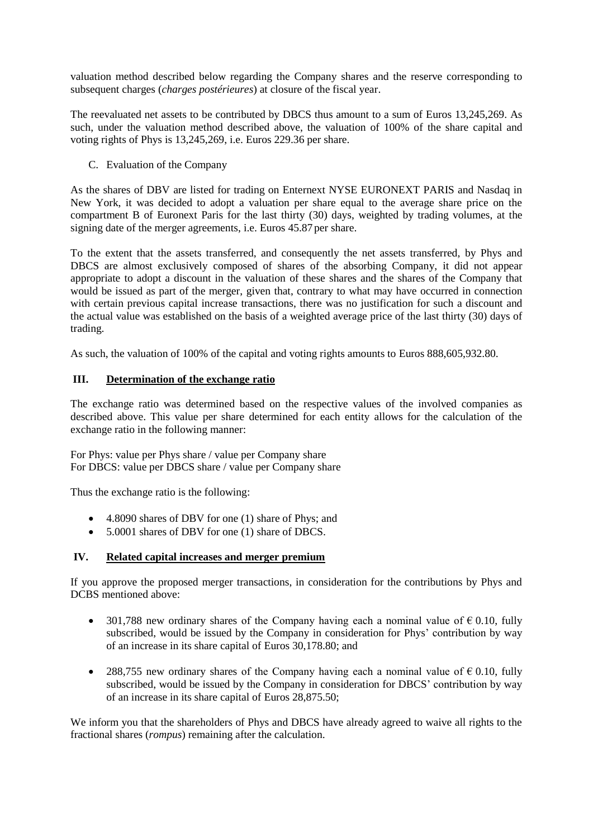valuation method described below regarding the Company shares and the reserve corresponding to subsequent charges (*charges postérieures*) at closure of the fiscal year.

The reevaluated net assets to be contributed by DBCS thus amount to a sum of Euros 13,245,269. As such, under the valuation method described above, the valuation of 100% of the share capital and voting rights of Phys is 13,245,269, i.e. Euros 229.36 per share.

C. Evaluation of the Company

As the shares of DBV are listed for trading on Enternext NYSE EURONEXT PARIS and Nasdaq in New York, it was decided to adopt a valuation per share equal to the average share price on the compartment B of Euronext Paris for the last thirty (30) days, weighted by trading volumes, at the signing date of the merger agreements, i.e. Euros 45.87 per share.

To the extent that the assets transferred, and consequently the net assets transferred, by Phys and DBCS are almost exclusively composed of shares of the absorbing Company, it did not appear appropriate to adopt a discount in the valuation of these shares and the shares of the Company that would be issued as part of the merger, given that, contrary to what may have occurred in connection with certain previous capital increase transactions, there was no justification for such a discount and the actual value was established on the basis of a weighted average price of the last thirty (30) days of trading.

As such, the valuation of 100% of the capital and voting rights amounts to Euros 888,605,932.80.

## **III. Determination of the exchange ratio**

The exchange ratio was determined based on the respective values of the involved companies as described above. This value per share determined for each entity allows for the calculation of the exchange ratio in the following manner:

For Phys: value per Phys share / value per Company share For DBCS: value per DBCS share / value per Company share

Thus the exchange ratio is the following:

- 4.8090 shares of DBV for one (1) share of Phys; and
- 5.0001 shares of DBV for one (1) share of DBCS.

## **IV. Related capital increases and merger premium**

If you approve the proposed merger transactions, in consideration for the contributions by Phys and DCBS mentioned above:

- 301,788 new ordinary shares of the Company having each a nominal value of  $\epsilon$  0.10, fully subscribed, would be issued by the Company in consideration for Phys' contribution by way of an increase in its share capital of Euros 30,178.80; and
- 288,755 new ordinary shares of the Company having each a nominal value of  $\epsilon$  0.10, fully subscribed, would be issued by the Company in consideration for DBCS' contribution by way of an increase in its share capital of Euros 28,875.50;

We inform you that the shareholders of Phys and DBCS have already agreed to waive all rights to the fractional shares (*rompus*) remaining after the calculation.